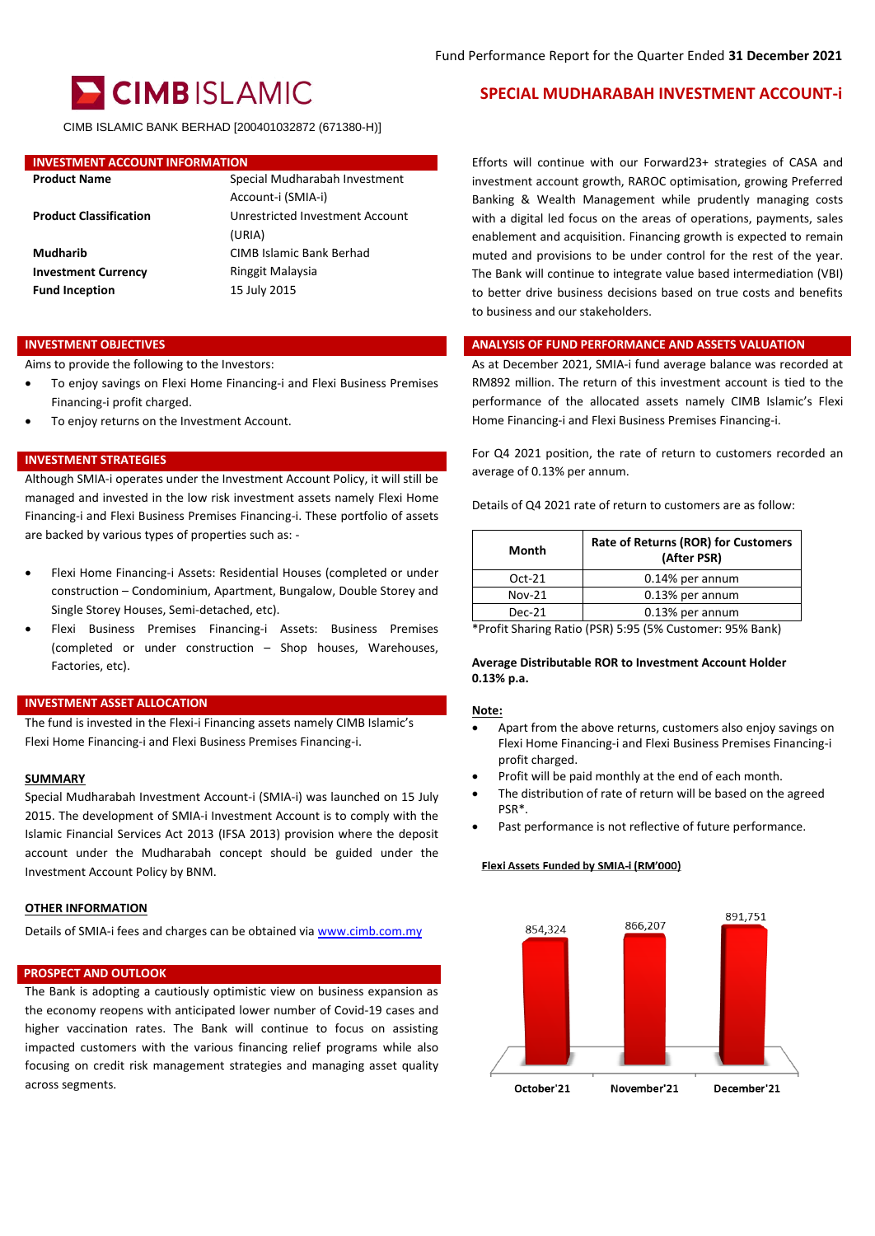

CIMB ISLAMIC BANK BERHAD [200401032872 (671380-H)]

### **INVESTMENT ACCOUNT INFORMATION**

| <b>Product Name</b>           | Special Mudharabah Investment   |
|-------------------------------|---------------------------------|
|                               | Account-i (SMIA-i)              |
| <b>Product Classification</b> | Unrestricted Investment Account |
|                               | (URIA)                          |
| Mudharib                      | CIMB Islamic Bank Berhad        |
| <b>Investment Currency</b>    | Ringgit Malaysia                |
| <b>Fund Inception</b>         | 15 July 2015                    |
|                               |                                 |

Aims to provide the following to the Investors:

- To enjoy savings on Flexi Home Financing-i and Flexi Business Premises Financing-i profit charged.
- To enjoy returns on the Investment Account.

#### **INVESTMENT STRATEGIES**

Although SMIA-i operates under the Investment Account Policy, it will still be managed and invested in the low risk investment assets namely Flexi Home Financing-i and Flexi Business Premises Financing-i. These portfolio of assets are backed by various types of properties such as: -

- Flexi Home Financing-i Assets: Residential Houses (completed or under construction – Condominium, Apartment, Bungalow, Double Storey and Single Storey Houses, Semi-detached, etc).
- Flexi Business Premises Financing-i Assets: Business Premises (completed or under construction – Shop houses, Warehouses, Factories, etc).

#### **INVESTMENT ASSET ALLOCATION**

The fund is invested in the Flexi-i Financing assets namely CIMB Islamic's Flexi Home Financing-i and Flexi Business Premises Financing-i.

#### **SUMMARY**

Special Mudharabah Investment Account-i (SMIA-i) was launched on 15 July 2015. The development of SMIA-i Investment Account is to comply with the Islamic Financial Services Act 2013 (IFSA 2013) provision where the deposit account under the Mudharabah concept should be guided under the Investment Account Policy by BNM.

### **OTHER INFORMATION**

Details of SMIA-i fees and charges can be obtained vi[a www.cimb.com.my](http://www.cimb.com.my/)

#### **PROSPECT AND OUTLOOK**

The Bank is adopting a cautiously optimistic view on business expansion as the economy reopens with anticipated lower number of Covid-19 cases and higher vaccination rates. The Bank will continue to focus on assisting impacted customers with the various financing relief programs while also focusing on credit risk management strategies and managing asset quality across segments.

## **SPECIAL MUDHARABAH INVESTMENT ACCOUNT-i**

Efforts will continue with our Forward23+ strategies of CASA and investment account growth, RAROC optimisation, growing Preferred Banking & Wealth Management while prudently managing costs with a digital led focus on the areas of operations, payments, sales enablement and acquisition. Financing growth is expected to remain muted and provisions to be under control for the rest of the year. The Bank will continue to integrate value based intermediation (VBI) to better drive business decisions based on true costs and benefits to business and our stakeholders.

## **INVESTMENT OBJECTIVES ANALYSIS OF FUND PERFORMANCE AND ASSETS VALUATION**

As at December 2021, SMIA-i fund average balance was recorded at RM892 million. The return of this investment account is tied to the performance of the allocated assets namely CIMB Islamic's Flexi Home Financing-i and Flexi Business Premises Financing-i.

For Q4 2021 position, the rate of return to customers recorded an average of 0.13% per annum.

Details of Q4 2021 rate of return to customers are as follow:

| Month    | <b>Rate of Returns (ROR) for Customers</b><br>(After PSR) |
|----------|-----------------------------------------------------------|
| Oct-21   | 0.14% per annum                                           |
| $Nov-21$ | 0.13% per annum                                           |
| Dec-21   | 0.13% per annum                                           |
|          |                                                           |

\*Profit Sharing Ratio (PSR) 5:95 (5% Customer: 95% Bank)

#### **Average Distributable ROR to Investment Account Holder 0.13% p.a.**

#### **Note:**

- Apart from the above returns, customers also enjoy savings on Flexi Home Financing-i and Flexi Business Premises Financing-i profit charged.
- Profit will be paid monthly at the end of each month.
- The distribution of rate of return will be based on the agreed PSR\*.
- Past performance is not reflective of future performance.

#### Flexi Assets Funded by SMIA-i (RM'000)